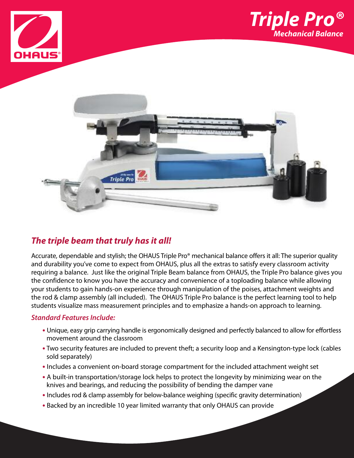





## *The triple beam that truly has it all!*

Accurate, dependable and stylish; the OHAUS Triple Pro® mechanical balance offers it all: The superior quality and durability you've come to expect from OHAUS, plus all the extras to satisfy every classroom activity requiring a balance. Just like the original Triple Beam balance from OHAUS, the Triple Pro balance gives you the confidence to know you have the accuracy and convenience of a toploading balance while allowing your students to gain hands-on experience through manipulation of the poises, attachment weights and the rod & clamp assembly (all included). The OHAUS Triple Pro balance is the perfect learning tool to help students visualize mass measurement principles and to emphasize a hands-on approach to learning.

### *Standard Features Include:*

- **•** Unique, easy grip carrying handle is ergonomically designed and perfectly balanced to allow for effortless movement around the classroom
- **•** Two security features are included to prevent theft; a security loop and a Kensington-type lock (cables sold separately)
- **•** Includes a convenient on-board storage compartment for the included attachment weight set
- **•** A built-in transportation/storage lock helps to protect the longevity by minimizing wear on the knives and bearings, and reducing the possibility of bending the damper vane
- **•** Includes rod & clamp assembly for below-balance weighing (specific gravity determination)
- **•** Backed by an incredible 10 year limited warranty that only OHAUS can provide